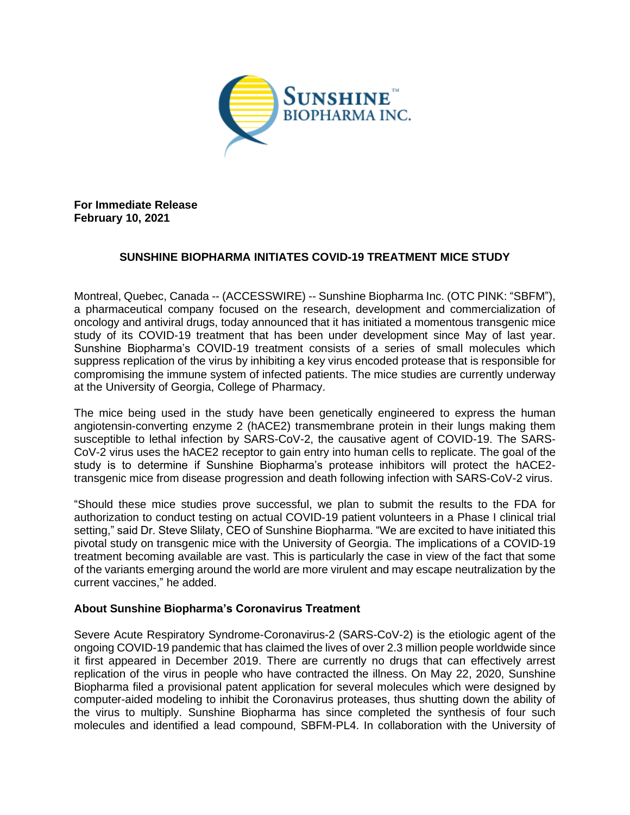

**For Immediate Release February 10, 2021**

## **SUNSHINE BIOPHARMA INITIATES COVID-19 TREATMENT MICE STUDY**

Montreal, Quebec, Canada -- (ACCESSWIRE) -- Sunshine Biopharma Inc. (OTC PINK: "SBFM"), a pharmaceutical company focused on the research, development and commercialization of oncology and antiviral drugs, today announced that it has initiated a momentous transgenic mice study of its COVID-19 treatment that has been under development since May of last year. Sunshine Biopharma's COVID-19 treatment consists of a series of small molecules which suppress replication of the virus by inhibiting a key virus encoded protease that is responsible for compromising the immune system of infected patients. The mice studies are currently underway at the University of Georgia, College of Pharmacy.

The mice being used in the study have been genetically engineered to express the human angiotensin-converting enzyme 2 (hACE2) transmembrane protein in their lungs making them susceptible to lethal infection by SARS-CoV-2, the causative agent of COVID-19. The SARS-CoV-2 virus uses the hACE2 receptor to gain entry into human cells to replicate. The goal of the study is to determine if Sunshine Biopharma's protease inhibitors will protect the hACE2 transgenic mice from disease progression and death following infection with SARS-CoV-2 virus.

"Should these mice studies prove successful, we plan to submit the results to the FDA for authorization to conduct testing on actual COVID-19 patient volunteers in a Phase I clinical trial setting," said Dr. Steve Slilaty, CEO of Sunshine Biopharma. "We are excited to have initiated this pivotal study on transgenic mice with the University of Georgia. The implications of a COVID-19 treatment becoming available are vast. This is particularly the case in view of the fact that some of the variants emerging around the world are more virulent and may escape neutralization by the current vaccines," he added.

## **About Sunshine Biopharma's Coronavirus Treatment**

Severe Acute Respiratory Syndrome-Coronavirus-2 (SARS-CoV-2) is the etiologic agent of the ongoing COVID-19 pandemic that has claimed the lives of over 2.3 million people worldwide since it first appeared in December 2019. There are currently no drugs that can effectively arrest replication of the virus in people who have contracted the illness. On May 22, 2020, Sunshine Biopharma filed a provisional patent application for several molecules which were designed by computer-aided modeling to inhibit the Coronavirus proteases, thus shutting down the ability of the virus to multiply. Sunshine Biopharma has since completed the synthesis of four such molecules and identified a lead compound, SBFM-PL4. In collaboration with the University of